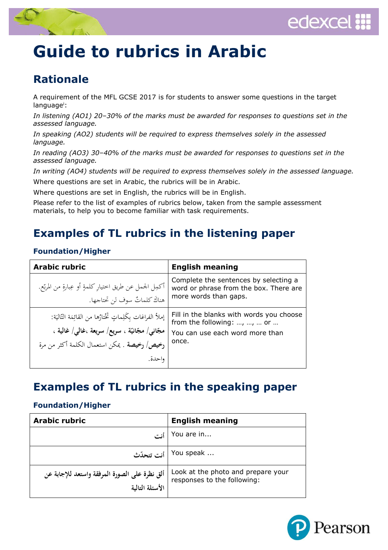



# **Guide to rubrics in Arabic**

## **Rationale**

A requirement of the MFL GCSE 2017 is for students to answer some questions in the target language<sup>i</sup>:

*In listening (AO1) 20–30% of the marks must be awarded for responses to questions set in the assessed language.*

*In speaking (AO2) students will be required to express themselves solely in the assessed language.*

*In reading (AO3) 30–40% of the marks must be awarded for responses to questions set in the assessed language.*

*In writing (AO4) students will be required to express themselves solely in the assessed language.* Where questions are set in Arabic, the rubrics will be in Arabic.

Where questions are set in English, the rubrics will be in English.

Please refer to the list of examples of rubrics below, taken from the sample assessment materials, to help you to become familiar with task requirements.

## **Examples of TL rubrics in the listening paper**

### **Foundation/Higher**

| <b>Arabic rubric</b>                                                                                                                                                       | <b>English meaning</b>                                                                                              |
|----------------------------------------------------------------------------------------------------------------------------------------------------------------------------|---------------------------------------------------------------------------------------------------------------------|
| أكمِل الجمل عن طريق اختيارٍ كلمةٍ أو عِبارةٍ من المربّع.<br>هناكَ كلماتٌ سوفٍ لن تحتاجها.                                                                                  | Complete the sentences by selecting a<br>word or phrase from the box. There are<br>more words than gaps.            |
| إملأ الفراغات بكَلِماتٍ تَخْتارُها من القائِمَة التّاليَة:<br>مجَّانى/ مجَّانيَّة ، سريع/ سريعة ،غالبي/ غالية ،<br>رخيص/ رخيصة . يمكن استعمال الكلمة أكثر من مرة<br>واحدة. | Fill in the blanks with words you choose<br>from the following: , ,  or<br>You can use each word more than<br>once. |

## **Examples of TL rubrics in the speaking paper**

### **Foundation/Higher**

| <b>Arabic rubric</b>                                             | <b>English meaning</b>                                            |
|------------------------------------------------------------------|-------------------------------------------------------------------|
|                                                                  | You are in                                                        |
| أنت تتحدّث                                                       | You speak                                                         |
| ألق نظرة على الصورة المرفقة واستعد للإجابة عن<br>الأسئلة التالية | Look at the photo and prepare your<br>responses to the following: |

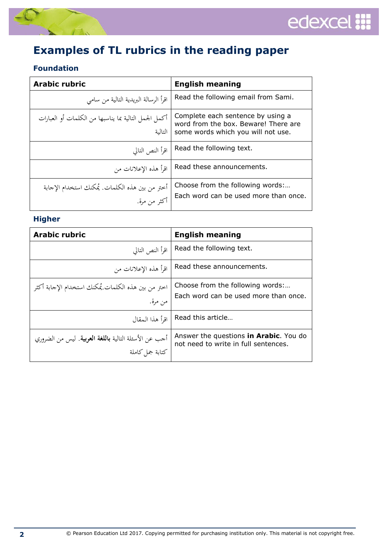



# **Examples of TL rubrics in the reading paper**

## **Foundation**

| <b>Arabic rubric</b>                                             | <b>English meaning</b>                                                                                          |
|------------------------------------------------------------------|-----------------------------------------------------------------------------------------------------------------|
| اقرأ الرسالة البريدية التالية من سامي                            | Read the following email from Sami.                                                                             |
| أكمل الجمل التالية بما يناسبها من الكلمات أو العبارات<br>التالية | Complete each sentence by using a<br>word from the box. Beware! There are<br>some words which you will not use. |
| اقرأ النص التالي                                                 | Read the following text.                                                                                        |
| اقرأ هذه الإعلانات من                                            | Read these announcements.                                                                                       |
| أختر من بين هذه الكلمات. يُمكنك استخدام الإجابة<br>أكثر من مرة.  | Choose from the following words:<br>Each word can be used more than once.                                       |

### **Higher**

| <b>Arabic rubric</b>                                                             | <b>English meaning</b>                                                         |
|----------------------------------------------------------------------------------|--------------------------------------------------------------------------------|
| اقرأ النص التالي                                                                 | Read the following text.                                                       |
| اقرأ هذه الإعلانات من                                                            | Read these announcements.                                                      |
| اختر من بين هذه الكلمات.يُمكنك استخدام الإجابة أكثر<br>من مرة.                   | Choose from the following words:<br>Each word can be used more than once.      |
| اقرأ هذا المقال                                                                  | Read this article                                                              |
| أحب عن الأسئلة التالية <b>باللغة العربية</b> . ليس من الضروري<br>كتابة جمل كاملة | Answer the questions in Arabic. You do<br>not need to write in full sentences. |